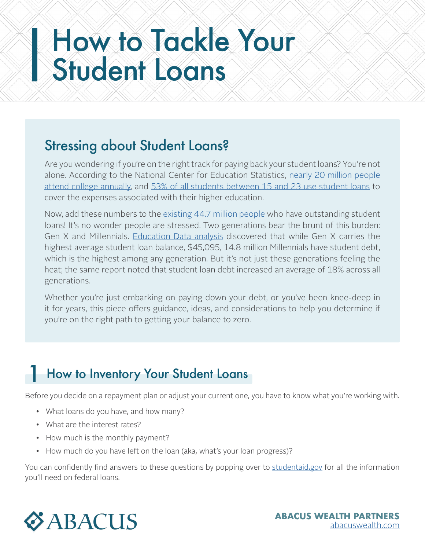# Stressing about Student Loans?

Are you wondering if you're on the right track for paying back your student loans? You're not alone. According to the National Center for Education Statistics, [nearly 20 million people](https://nces.ed.gov/fastfacts/display.asp?id=372)  [attend college annually](https://nces.ed.gov/fastfacts/display.asp?id=372), and [53% of all students between 15 and 23 use student loans](https://educationdata.org/how-do-people-pay-for-college#:~:text=40.5%25%20of%20undergraduates%20between%20the,21%25%20of%20annual%20education%20costs.) to cover the expenses associated with their higher education.

Now, add these numbers to the [existing 44.7 million people](https://educationdata.org/how-many-people-have-student-loans#:~:text=Report%20Highlights.,student%20loans%20at%20some%20point.) who have outstanding student loans! It's no wonder people are stressed. Two generations bear the brunt of this burden: Gen X and Millennials. [Education Data analysis](https://educationdata.org/student-loan-debt-by-generation) discovered that while Gen X carries the highest average student loan balance, \$45,095, 14.8 million Millennials have student debt, which is the highest among any generation. But it's not just these generations feeling the heat; the same report noted that student loan debt increased an average of 18% across all generations.

Whether you're just embarking on paying down your debt, or you've been knee-deep in it for years, this piece offers guidance, ideas, and considerations to help you determine if you're on the right path to getting your balance to zero.

# How to Inventory Your Student Loans 1

Before you decide on a repayment plan or adjust your current one, you have to know what you're working with.

- What loans do you have, and how many?
- What are the interest rates?
- How much is the monthly payment?
- How much do you have left on the loan (aka, what's your loan progress)?

You can confidently find answers to these questions by popping over to [studentaid.gov](http://studentaid.gov) for all the information you'll need on federal loans.

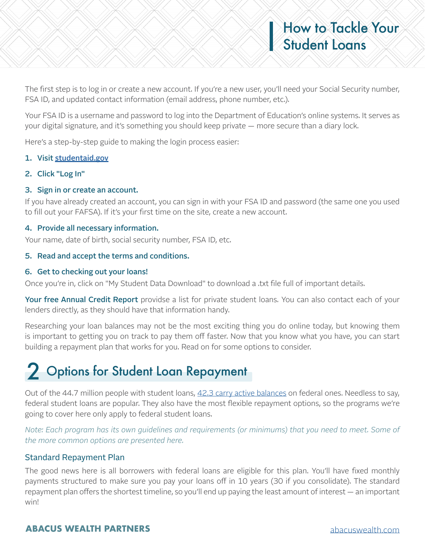### The first step is to log in or create a new account. If you're a new user, you'll need your Social Security number, FSA ID, and updated contact information (email address, phone number, etc.).

Your FSA ID is a username and password to log into the Department of Education's online systems. It serves as your digital signature, and it's something you should keep private — more secure than a diary lock.

Here's a step-by-step guide to making the login process easier:

#### 1. Visit [studentaid.gov](http://studentaid.gov)

2. Click "Log In"

#### 3. Sign in or create an account.

If you have already created an account, you can sign in with your FSA ID and password (the same one you used to fill out your FAFSA). If it's your first time on the site, create a new account.

#### 4. Provide all necessary information.

Your name, date of birth, social security number, FSA ID, etc.

#### 5. Read and accept the terms and conditions.

#### 6. Get to checking out your loans!

Once you're in, click on "My Student Data Download" to download a .txt file full of important details.

Your free Annual Credit Report providse a list for private student loans. You can also contact each of your lenders directly, as they should have that information handy.

Researching your loan balances may not be the most exciting thing you do online today, but knowing them is important to getting you on track to pay them off faster. Now that you know what you have, you can start building a repayment plan that works for you. Read on for some options to consider.

# 2 Options for Student Loan Repayment

Out of the 44.7 million people with student loans, [42.3 carry active balances](https://educationdata.org/how-many-people-have-student-loans#:~:text=Report%20Highlights.,student%20loans%20at%20some%20point.) on federal ones. Needless to say, federal student loans are popular. They also have the most flexible repayment options, so the programs we're going to cover here only apply to federal student loans.

*Note: Each program has its own guidelines and requirements (or minimums) that you need to meet. Some of the more common options are presented here.*

#### Standard Repayment Plan

The good news here is all borrowers with federal loans are eligible for this plan. You'll have fixed monthly payments structured to make sure you pay your loans off in 10 years (30 if you consolidate). The standard repayment plan offers the shortest timeline, so you'll end up paying the least amount of interest — an important win!

## **ABACUS WEALTH PARTNERS** [abacuswealth.com](http://www.abacuswealth.com)

How to Tackle Your

Student Loans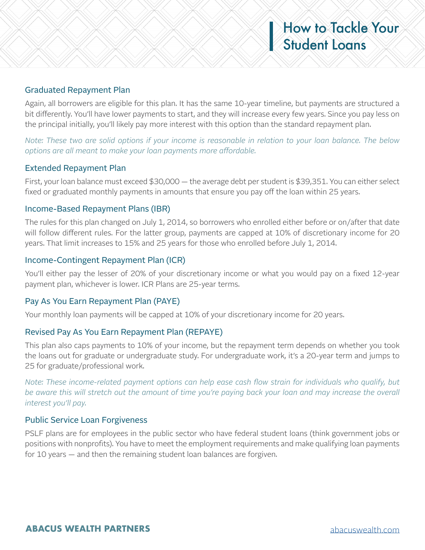### Graduated Repayment Plan

Again, all borrowers are eligible for this plan. It has the same 10-year timeline, but payments are structured a bit differently. You'll have lower payments to start, and they will increase every few years. Since you pay less on the principal initially, you'll likely pay more interest with this option than the standard repayment plan.

*Note: These two are solid options if your income is reasonable in relation to your loan balance. The below options are all meant to make your loan payments more affordable.*

### Extended Repayment Plan

First, your loan balance must exceed \$30,000 — the average debt per student is \$39,351. You can either select fixed or graduated monthly payments in amounts that ensure you pay off the loan within 25 years.

#### Income-Based Repayment Plans (IBR)

The rules for this plan changed on July 1, 2014, so borrowers who enrolled either before or on/after that date will follow different rules. For the latter group, payments are capped at 10% of discretionary income for 20 years. That limit increases to 15% and 25 years for those who enrolled before July 1, 2014.

### Income-Contingent Repayment Plan (ICR)

You'll either pay the lesser of 20% of your discretionary income or what you would pay on a fixed 12-year payment plan, whichever is lower. ICR Plans are 25-year terms.

#### Pay As You Earn Repayment Plan (PAYE)

Your monthly loan payments will be capped at 10% of your discretionary income for 20 years.

#### Revised Pay As You Earn Repayment Plan (REPAYE)

This plan also caps payments to 10% of your income, but the repayment term depends on whether you took the loans out for graduate or undergraduate study. For undergraduate work, it's a 20-year term and jumps to 25 for graduate/professional work.

*Note: These income-related payment options can help ease cash flow strain for individuals who qualify, but be aware this will stretch out the amount of time you're paying back your loan and may increase the overall interest you'll pay.*

#### Public Service Loan Forgiveness

PSLF plans are for employees in the public sector who have federal student loans (think government jobs or positions with nonprofits). You have to meet the employment requirements and make qualifying loan payments for 10 years — and then the remaining student loan balances are forgiven.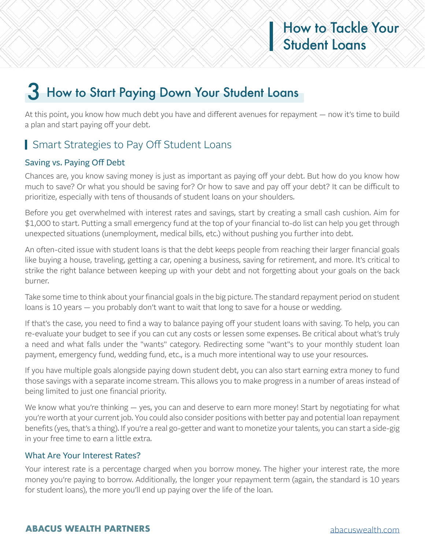# 3 How to Start Paying Down Your Student Loans

At this point, you know how much debt you have and different avenues for repayment — now it's time to build a plan and start paying off your debt.

# **Smart Strategies to Pay Off Student Loans**

# Saving vs. Paying Off Debt

Chances are, you know saving money is just as important as paying off your debt. But how do you know how much to save? Or what you should be saving for? Or how to save and pay off your debt? It can be difficult to prioritize, especially with tens of thousands of student loans on your shoulders.

Before you get overwhelmed with interest rates and savings, start by creating a small cash cushion. Aim for \$1,000 to start. Putting a small emergency fund at the top of your financial to-do list can help you get through unexpected situations (unemployment, medical bills, etc.) without pushing you further into debt.

An often-cited issue with student loans is that the debt keeps people from reaching their larger financial goals like buying a house, traveling, getting a car, opening a business, saving for retirement, and more. It's critical to strike the right balance between keeping up with your debt and not forgetting about your goals on the back burner.

Take some time to think about your financial goals in the big picture. The standard repayment period on student loans is 10 years — you probably don't want to wait that long to save for a house or wedding.

If that's the case, you need to find a way to balance paying off your student loans with saving. To help, you can re-evaluate your budget to see if you can cut any costs or lessen some expenses. Be critical about what's truly a need and what falls under the "wants" category. Redirecting some "want"s to your monthly student loan payment, emergency fund, wedding fund, etc., is a much more intentional way to use your resources.

If you have multiple goals alongside paying down student debt, you can also start earning extra money to fund those savings with a separate income stream. This allows you to make progress in a number of areas instead of being limited to just one financial priority.

We know what you're thinking — yes, you can and deserve to earn more money! Start by negotiating for what you're worth at your current job. You could also consider positions with better pay and potential loan repayment benefits (yes, that's a thing). If you're a real go-getter and want to monetize your talents, you can start a side-gig in your free time to earn a little extra.

## What Are Your Interest Rates?

Your interest rate is a percentage charged when you borrow money. The higher your interest rate, the more money you're paying to borrow. Additionally, the longer your repayment term (again, the standard is 10 years for student loans), the more you'll end up paying over the life of the loan.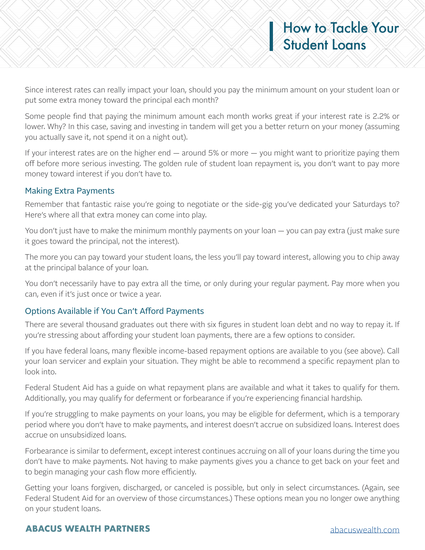Some people find that paying the minimum amount each month works great if your interest rate is 2.2% or lower. Why? In this case, saving and investing in tandem will get you a better return on your money (assuming you actually save it, not spend it on a night out).

If your interest rates are on the higher end — around 5% or more — you might want to prioritize paying them off before more serious investing. The golden rule of student loan repayment is, you don't want to pay more money toward interest if you don't have to.

## Making Extra Payments

Remember that fantastic raise you're going to negotiate or the side-gig you've dedicated your Saturdays to? Here's where all that extra money can come into play.

You don't just have to make the minimum monthly payments on your loan — you can pay extra (just make sure it goes toward the principal, not the interest).

The more you can pay toward your student loans, the less you'll pay toward interest, allowing you to chip away at the principal balance of your loan.

You don't necessarily have to pay extra all the time, or only during your regular payment. Pay more when you can, even if it's just once or twice a year.

# Options Available if You Can't Afford Payments

There are several thousand graduates out there with six figures in student loan debt and no way to repay it. If you're stressing about affording your student loan payments, there are a few options to consider.

If you have federal loans, many flexible income-based repayment options are available to you (see above). Call your loan servicer and explain your situation. They might be able to recommend a specific repayment plan to look into.

Federal Student Aid has a guide on what repayment plans are available and what it takes to qualify for them. Additionally, you may qualify for deferment or forbearance if you're experiencing financial hardship.

If you're struggling to make payments on your loans, you may be eligible for deferment, which is a temporary period where you don't have to make payments, and interest doesn't accrue on subsidized loans. Interest does accrue on unsubsidized loans.

Forbearance is similar to deferment, except interest continues accruing on all of your loans during the time you don't have to make payments. Not having to make payments gives you a chance to get back on your feet and to begin managing your cash flow more efficiently.

Getting your loans forgiven, discharged, or canceled is possible, but only in select circumstances. (Again, see Federal Student Aid for an overview of those circumstances.) These options mean you no longer owe anything on your student loans.

# **ABACUS WEALTH PARTNERS** [abacuswealth.com](http://www.abacuswealth.com)

How to Tackle Your

Student Loans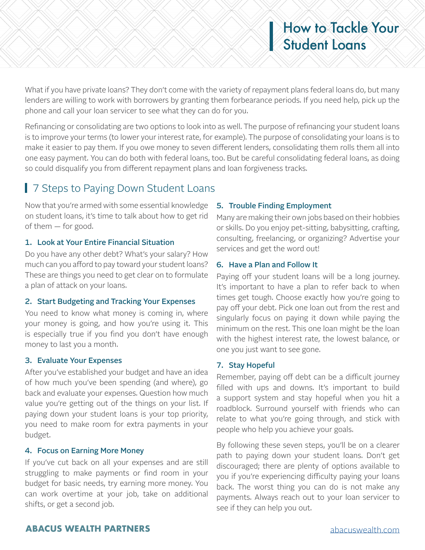What if you have private loans? They don't come with the variety of repayment plans federal loans do, but many lenders are willing to work with borrowers by granting them forbearance periods. If you need help, pick up the phone and call your loan servicer to see what they can do for you.

Refinancing or consolidating are two options to look into as well. The purpose of refinancing your student loans is to improve your terms (to lower your interest rate, for example). The purpose of consolidating your loans is to make it easier to pay them. If you owe money to seven different lenders, consolidating them rolls them all into one easy payment. You can do both with federal loans, too. But be careful consolidating federal loans, as doing so could disqualify you from different repayment plans and loan forgiveness tracks.

# 7 Steps to Paying Down Student Loans

Now that you're armed with some essential knowledge on student loans, it's time to talk about how to get rid of them — for good.

#### 1. Look at Your Entire Financial Situation

Do you have any other debt? What's your salary? How much can you afford to pay toward your student loans? These are things you need to get clear on to formulate a plan of attack on your loans.

#### 2. Start Budgeting and Tracking Your Expenses

You need to know what money is coming in, where your money is going, and how you're using it. This is especially true if you find you don't have enough money to last you a month.

#### 3. Evaluate Your Expenses

After you've established your budget and have an idea of how much you've been spending (and where), go back and evaluate your expenses. Question how much value you're getting out of the things on your list. If paying down your student loans is your top priority, you need to make room for extra payments in your budget.

#### 4. Focus on Earning More Money

If you've cut back on all your expenses and are still struggling to make payments or find room in your budget for basic needs, try earning more money. You can work overtime at your job, take on additional shifts, or get a second job.

### 5. Trouble Finding Employment

Many are making their own jobs based on their hobbies or skills. Do you enjoy pet-sitting, babysitting, crafting, consulting, freelancing, or organizing? Advertise your services and get the word out!

### 6. Have a Plan and Follow It

Paying off your student loans will be a long journey. It's important to have a plan to refer back to when times get tough. Choose exactly how you're going to pay off your debt. Pick one loan out from the rest and singularly focus on paying it down while paying the minimum on the rest. This one loan might be the loan with the highest interest rate, the lowest balance, or one you just want to see gone.

## 7. Stay Hopeful

Remember, paying off debt can be a difficult journey filled with ups and downs. It's important to build a support system and stay hopeful when you hit a roadblock. Surround yourself with friends who can relate to what you're going through, and stick with people who help you achieve your goals.

By following these seven steps, you'll be on a clearer path to paying down your student loans. Don't get discouraged; there are plenty of options available to you if you're experiencing difficulty paying your loans back. The worst thing you can do is not make any payments. Always reach out to your loan servicer to see if they can help you out.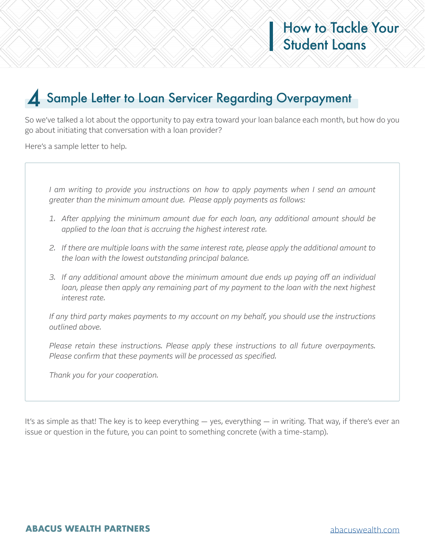# 4 Sample Letter to Loan Servicer Regarding Overpayment

So we've talked a lot about the opportunity to pay extra toward your loan balance each month, but how do you go about initiating that conversation with a loan provider?

Here's a sample letter to help.

*I am writing to provide you instructions on how to apply payments when I send an amount greater than the minimum amount due. Please apply payments as follows:* 

- *1. After applying the minimum amount due for each loan, any additional amount should be applied to the loan that is accruing the highest interest rate.*
- *2. If there are multiple loans with the same interest rate, please apply the additional amount to the loan with the lowest outstanding principal balance.*
- *3. If any additional amount above the minimum amount due ends up paying off an individual loan, please then apply any remaining part of my payment to the loan with the next highest interest rate.*

*If any third party makes payments to my account on my behalf, you should use the instructions outlined above.*

*Please retain these instructions. Please apply these instructions to all future overpayments. Please confirm that these payments will be processed as specified.*

*Thank you for your cooperation.*

It's as simple as that! The key is to keep everything — yes, everything — in writing. That way, if there's ever an issue or question in the future, you can point to something concrete (with a time-stamp).